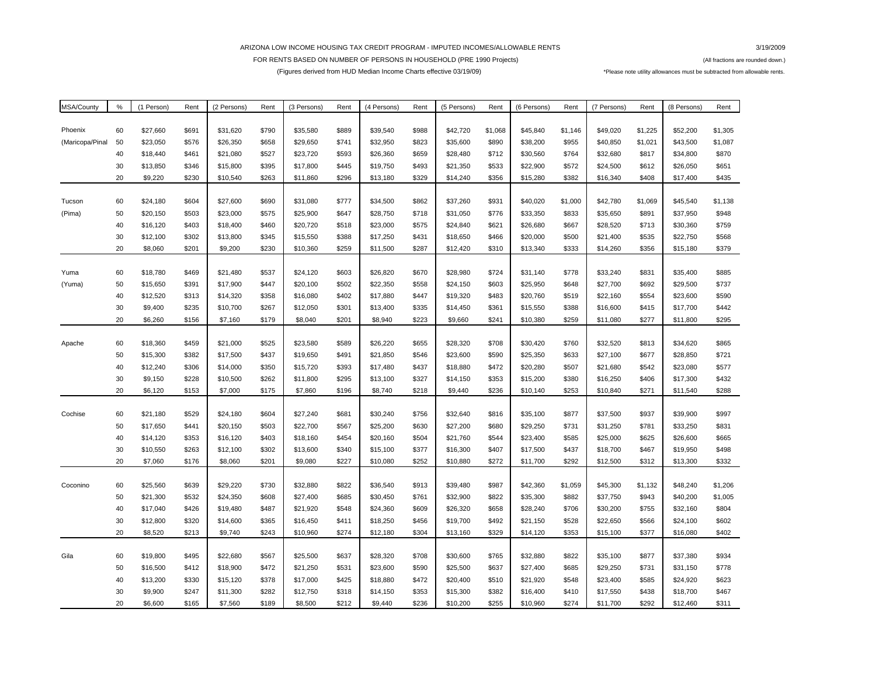## ARIZONA LOW INCOME HOUSING TAX CREDIT PROGRAM - IMPUTED INCOMES/ALLOWABLE RENTS

3/19/2009

## FOR RENTS BASED ON NUMBER OF PERSONS IN HOUSEHOLD (PRE 1990 Projects) **FOR ACT 1991 CONSERVERS** (All fractions are rounded down.) (Figures derived from HUD Median Income Charts effective 03/19/09) \*Please note utility allowances must be subtracted from allowable rents.

| MSA/County      | $\%$ | (1 Person) | Rent  | (2 Persons) | Rent  | (3 Persons) | Rent  | (4 Persons) | Rent  | (5 Persons) | Rent    | (6 Persons) | Rent    | (7 Persons) | Rent    | (8 Persons) | Rent    |
|-----------------|------|------------|-------|-------------|-------|-------------|-------|-------------|-------|-------------|---------|-------------|---------|-------------|---------|-------------|---------|
|                 |      |            |       |             |       |             |       |             |       |             |         |             |         |             |         |             |         |
| Phoenix         | 60   | \$27,660   | \$691 | \$31,620    | \$790 | \$35,580    | \$889 | \$39,540    | \$988 | \$42,720    | \$1,068 | \$45,840    | \$1,146 | \$49,020    | \$1,225 | \$52,200    | \$1,305 |
| (Maricopa/Pinal | 50   | \$23,050   | \$576 | \$26,350    | \$658 | \$29,650    | \$741 | \$32,950    | \$823 | \$35,600    | \$890   | \$38,200    | \$955   | \$40,850    | \$1,021 | \$43,500    | \$1,087 |
|                 | 40   | \$18,440   | \$461 | \$21,080    | \$527 | \$23,720    | \$593 | \$26,360    | \$659 | \$28,480    | \$712   | \$30,560    | \$764   | \$32,680    | \$817   | \$34,800    | \$870   |
|                 | 30   | \$13,850   | \$346 | \$15,800    | \$395 | \$17,800    | \$445 | \$19,750    | \$493 | \$21,350    | \$533   | \$22,900    | \$572   | \$24,500    | \$612   | \$26,050    | \$651   |
|                 | 20   | \$9,220    | \$230 | \$10,540    | \$263 | \$11,860    | \$296 | \$13,180    | \$329 | \$14,240    | \$356   | \$15,280    | \$382   | \$16,340    | \$408   | \$17,400    | \$435   |
|                 |      |            |       |             |       |             |       |             |       |             |         |             |         |             |         |             |         |
| Tucson          | 60   | \$24,180   | \$604 | \$27,600    | \$690 | \$31,080    | \$777 | \$34,500    | \$862 | \$37,260    | \$931   | \$40,020    | \$1,000 | \$42,780    | \$1,069 | \$45,540    | \$1,138 |
| (Pima)          | 50   | \$20,150   | \$503 | \$23,000    | \$575 | \$25,900    | \$647 | \$28,750    | \$718 | \$31,050    | \$776   | \$33,350    | \$833   | \$35,650    | \$891   | \$37,950    | \$948   |
|                 | 40   | \$16,120   | \$403 | \$18,400    | \$460 | \$20,720    | \$518 | \$23,000    | \$575 | \$24,840    | \$621   | \$26,680    | \$667   | \$28,520    | \$713   | \$30,360    | \$759   |
|                 | 30   | \$12,100   | \$302 | \$13,800    | \$345 | \$15,550    | \$388 | \$17,250    | \$431 | \$18,650    | \$466   | \$20,000    | \$500   | \$21,400    | \$535   | \$22,750    | \$568   |
|                 | 20   | \$8,060    | \$201 | \$9,200     | \$230 | \$10,360    | \$259 | \$11,500    | \$287 | \$12,420    | \$310   | \$13,340    | \$333   | \$14,260    | \$356   | \$15,180    | \$379   |
|                 |      |            |       |             |       |             |       |             |       |             |         |             |         |             |         |             |         |
| Yuma            | 60   | \$18,780   | \$469 | \$21,480    | \$537 | \$24,120    | \$603 | \$26,820    | \$670 | \$28,980    | \$724   | \$31,140    | \$778   | \$33,240    | \$831   | \$35,400    | \$885   |
| (Yuma)          | 50   | \$15,650   | \$391 | \$17,900    | \$447 | \$20,100    | \$502 | \$22,350    | \$558 | \$24,150    | \$603   | \$25,950    | \$648   | \$27,700    | \$692   | \$29,500    | \$737   |
|                 | 40   | \$12,520   | \$313 | \$14,320    | \$358 | \$16,080    | \$402 | \$17,880    | \$447 | \$19,320    | \$483   | \$20,760    | \$519   | \$22,160    | \$554   | \$23,600    | \$590   |
|                 | 30   | \$9,400    | \$235 | \$10,700    | \$267 | \$12,050    | \$301 | \$13,400    | \$335 | \$14,450    | \$361   | \$15,550    | \$388   | \$16,600    | \$415   | \$17,700    | \$442   |
|                 | 20   | \$6,260    | \$156 | \$7,160     | \$179 | \$8,040     | \$201 | \$8,940     | \$223 | \$9,660     | \$241   | \$10,380    | \$259   | \$11,080    | \$277   | \$11,800    | \$295   |
|                 |      |            |       |             |       |             |       |             |       |             |         |             |         |             |         |             |         |
| Apache          | 60   | \$18,360   | \$459 | \$21,000    | \$525 | \$23,580    | \$589 | \$26,220    | \$655 | \$28,320    | \$708   | \$30,420    | \$760   | \$32,520    | \$813   | \$34,620    | \$865   |
|                 | 50   | \$15,300   | \$382 | \$17,500    | \$437 | \$19,650    | \$491 | \$21,850    | \$546 | \$23,600    | \$590   | \$25,350    | \$633   | \$27,100    | \$677   | \$28,850    | \$721   |
|                 | 40   | \$12,240   | \$306 | \$14,000    | \$350 | \$15,720    | \$393 | \$17,480    | \$437 | \$18,880    | \$472   | \$20,280    | \$507   | \$21,680    | \$542   | \$23,080    | \$577   |
|                 | 30   | \$9,150    | \$228 | \$10,500    | \$262 | \$11,800    | \$295 | \$13,100    | \$327 | \$14,150    | \$353   | \$15,200    | \$380   | \$16,250    | \$406   | \$17,300    | \$432   |
|                 | 20   | \$6,120    | \$153 | \$7,000     | \$175 | \$7,860     | \$196 | \$8,740     | \$218 | \$9,440     | \$236   | \$10,140    | \$253   | \$10,840    | \$271   | \$11,540    | \$288   |
|                 |      |            |       |             |       |             |       |             |       |             |         |             |         |             |         |             |         |
| Cochise         | 60   | \$21,180   | \$529 | \$24,180    | \$604 | \$27,240    | \$681 | \$30,240    | \$756 | \$32,640    | \$816   | \$35,100    | \$877   | \$37,500    | \$937   | \$39,900    | \$997   |
|                 | 50   | \$17,650   | \$441 | \$20,150    | \$503 | \$22,700    | \$567 | \$25,200    | \$630 | \$27,200    | \$680   | \$29,250    | \$731   | \$31,250    | \$781   | \$33,250    | \$831   |
|                 | 40   | \$14,120   | \$353 | \$16,120    | \$403 | \$18,160    | \$454 | \$20,160    | \$504 | \$21,760    | \$544   | \$23,400    | \$585   | \$25,000    | \$625   | \$26,600    | \$665   |
|                 | 30   | \$10,550   | \$263 | \$12,100    | \$302 | \$13,600    | \$340 | \$15,100    | \$377 | \$16,300    | \$407   | \$17,500    | \$437   | \$18,700    | \$467   | \$19,950    | \$498   |
|                 | 20   | \$7,060    | \$176 | \$8,060     | \$201 | \$9,080     | \$227 | \$10,080    | \$252 | \$10,880    | \$272   | \$11,700    | \$292   | \$12,500    | \$312   | \$13,300    | \$332   |
|                 |      |            |       |             |       |             |       |             |       |             |         |             |         |             |         |             |         |
| Coconino        | 60   | \$25,560   | \$639 | \$29,220    | \$730 | \$32,880    | \$822 | \$36,540    | \$913 | \$39,480    | \$987   | \$42,360    | \$1,059 | \$45,300    | \$1,132 | \$48,240    | \$1,206 |
|                 | 50   | \$21,300   | \$532 | \$24,350    | \$608 | \$27,400    | \$685 | \$30,450    | \$761 | \$32,900    | \$822   | \$35,300    | \$882   | \$37,750    | \$943   | \$40,200    | \$1,005 |
|                 | 40   | \$17,040   | \$426 | \$19,480    | \$487 | \$21,920    | \$548 | \$24,360    | \$609 | \$26,320    | \$658   | \$28,240    | \$706   | \$30,200    | \$755   | \$32,160    | \$804   |
|                 | 30   | \$12,800   | \$320 | \$14,600    | \$365 | \$16,450    | \$411 | \$18,250    | \$456 | \$19,700    | \$492   | \$21,150    | \$528   | \$22,650    | \$566   | \$24,100    | \$602   |
|                 | 20   | \$8,520    | \$213 | \$9,740     | \$243 | \$10,960    | \$274 | \$12,180    | \$304 | \$13,160    | \$329   | \$14,120    | \$353   | \$15,100    | \$377   | \$16,080    | \$402   |
|                 |      |            |       |             |       |             |       |             |       |             |         |             |         |             |         |             |         |
| Gila            | 60   | \$19,800   | \$495 | \$22,680    | \$567 | \$25,500    | \$637 | \$28,320    | \$708 | \$30,600    | \$765   | \$32,880    | \$822   | \$35,100    | \$877   | \$37,380    | \$934   |
|                 | 50   | \$16,500   | \$412 | \$18,900    | \$472 | \$21,250    | \$531 | \$23,600    | \$590 | \$25,500    | \$637   | \$27,400    | \$685   | \$29,250    | \$731   | \$31,150    | \$778   |
|                 | 40   | \$13,200   | \$330 | \$15,120    | \$378 | \$17,000    | \$425 | \$18,880    | \$472 | \$20,400    | \$510   | \$21,920    | \$548   | \$23,400    | \$585   | \$24,920    | \$623   |
|                 | 30   | \$9,900    | \$247 | \$11,300    | \$282 | \$12,750    | \$318 | \$14,150    | \$353 | \$15,300    | \$382   | \$16,400    | \$410   | \$17,550    | \$438   | \$18,700    | \$467   |
|                 | 20   | \$6,600    | \$165 | \$7,560     | \$189 | \$8,500     | \$212 | \$9,440     | \$236 | \$10,200    | \$255   | \$10,960    | \$274   | \$11,700    | \$292   | \$12,460    | \$311   |